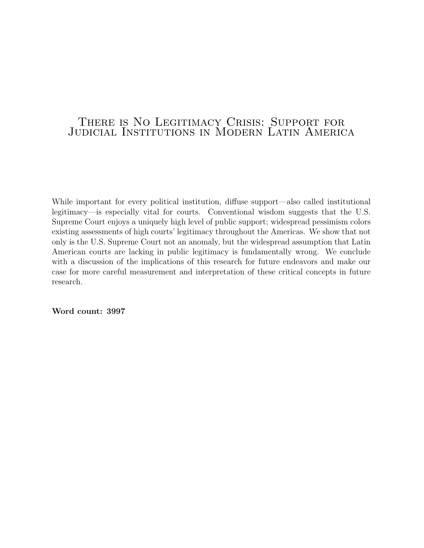# There is No Legitimacy Crisis: Support for Judicial Institutions in Modern Latin America

While important for every political institution, diffuse support—also called institutional legitimacy—is especially vital for courts. Conventional wisdom suggests that the U.S. Supreme Court enjoys a uniquely high level of public support; widespread pessimism colors existing assessments of high courts' legitimacy throughout the Americas. We show that not only is the U.S. Supreme Court not an anomaly, but the widespread assumption that Latin American courts are lacking in public legitimacy is fundamentally wrong. We conclude with a discussion of the implications of this research for future endeavors and make our case for more careful measurement and interpretation of these critical concepts in future research.

Word count: 3997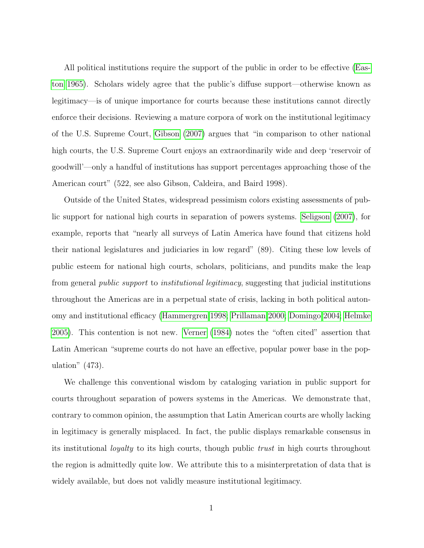All political institutions require the support of the public in order to be effective [\(Eas](#page-13-0)[ton 1965\)](#page-13-0). Scholars widely agree that the public's diffuse support—otherwise known as legitimacy—is of unique importance for courts because these institutions cannot directly enforce their decisions. Reviewing a mature corpora of work on the institutional legitimacy of the U.S. Supreme Court, [Gibson](#page-13-1) [\(2007\)](#page-13-1) argues that "in comparison to other national high courts, the U.S. Supreme Court enjoys an extraordinarily wide and deep 'reservoir of goodwill'—only a handful of institutions has support percentages approaching those of the American court" (522, see also Gibson, Caldeira, and Baird 1998).

Outside of the United States, widespread pessimism colors existing assessments of public support for national high courts in separation of powers systems. [Seligson](#page-14-0) [\(2007\)](#page-14-0), for example, reports that "nearly all surveys of Latin America have found that citizens hold their national legislatures and judiciaries in low regard" (89). Citing these low levels of public esteem for national high courts, scholars, politicians, and pundits make the leap from general public support to institutional legitimacy, suggesting that judicial institutions throughout the Americas are in a perpetual state of crisis, lacking in both political autonomy and institutional efficacy [\(Hammergren 1998;](#page-13-2) [Prillaman 2000;](#page-14-1) [Domingo 2004;](#page-13-3) [Helmke](#page-13-4) [2005\)](#page-13-4). This contention is not new. [Verner](#page-14-2) [\(1984\)](#page-14-2) notes the "often cited" assertion that Latin American "supreme courts do not have an effective, popular power base in the population" (473).

We challenge this conventional wisdom by cataloging variation in public support for courts throughout separation of powers systems in the Americas. We demonstrate that, contrary to common opinion, the assumption that Latin American courts are wholly lacking in legitimacy is generally misplaced. In fact, the public displays remarkable consensus in its institutional loyalty to its high courts, though public trust in high courts throughout the region is admittedly quite low. We attribute this to a misinterpretation of data that is widely available, but does not validly measure institutional legitimacy.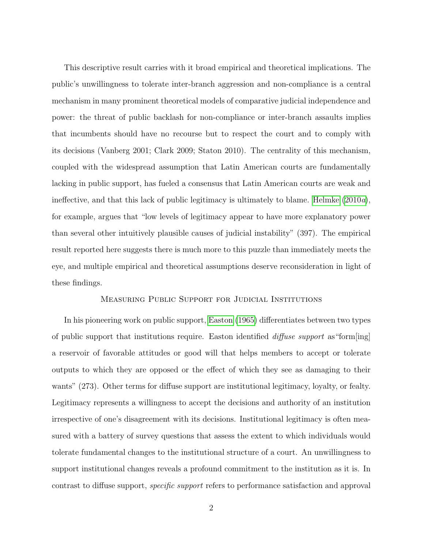This descriptive result carries with it broad empirical and theoretical implications. The public's unwillingness to tolerate inter-branch aggression and non-compliance is a central mechanism in many prominent theoretical models of comparative judicial independence and power: the threat of public backlash for non-compliance or inter-branch assaults implies that incumbents should have no recourse but to respect the court and to comply with its decisions (Vanberg 2001; Clark 2009; Staton 2010). The centrality of this mechanism, coupled with the widespread assumption that Latin American courts are fundamentally lacking in public support, has fueled a consensus that Latin American courts are weak and ineffective, and that this lack of public legitimacy is ultimately to blame. [Helmke](#page-13-5)  $(2010a)$  $(2010a)$ , for example, argues that "low levels of legitimacy appear to have more explanatory power than several other intuitively plausible causes of judicial instability" (397). The empirical result reported here suggests there is much more to this puzzle than immediately meets the eye, and multiple empirical and theoretical assumptions deserve reconsideration in light of these findings.

#### Measuring Public Support for Judicial Institutions

In his pioneering work on public support, [Easton](#page-13-0) [\(1965\)](#page-13-0) differentiates between two types of public support that institutions require. Easton identified *diffuse support* as "form $\lfloor \text{ing} \rfloor$ a reservoir of favorable attitudes or good will that helps members to accept or tolerate outputs to which they are opposed or the effect of which they see as damaging to their wants" (273). Other terms for diffuse support are institutional legitimacy, loyalty, or fealty. Legitimacy represents a willingness to accept the decisions and authority of an institution irrespective of one's disagreement with its decisions. Institutional legitimacy is often measured with a battery of survey questions that assess the extent to which individuals would tolerate fundamental changes to the institutional structure of a court. An unwillingness to support institutional changes reveals a profound commitment to the institution as it is. In contrast to diffuse support, specific support refers to performance satisfaction and approval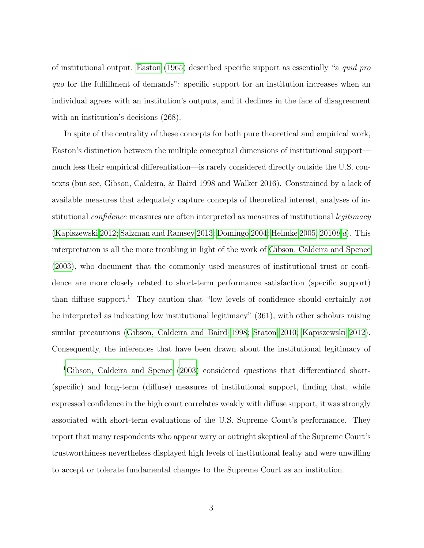of institutional output. [Easton](#page-13-0) [\(1965\)](#page-13-0) described specific support as essentially "a quid pro quo for the fulfillment of demands": specific support for an institution increases when an individual agrees with an institution's outputs, and it declines in the face of disagreement with an institution's decisions (268).

In spite of the centrality of these concepts for both pure theoretical and empirical work, Easton's distinction between the multiple conceptual dimensions of institutional support much less their empirical differentiation—is rarely considered directly outside the U.S. contexts (but see, Gibson, Caldeira, & Baird 1998 and Walker 2016). Constrained by a lack of available measures that adequately capture concepts of theoretical interest, analyses of institutional *confidence* measures are often interpreted as measures of institutional *legitimacy* [\(Kapiszewski 2012;](#page-13-6) [Salzman and Ramsey 2013;](#page-14-3) [Domingo 2004;](#page-13-3) [Helmke 2005,](#page-13-4) [2010](#page-13-7) $b, a$  $b, a$ ). This interpretation is all the more troubling in light of the work of [Gibson, Caldeira and Spence](#page-13-8) [\(2003\)](#page-13-8), who document that the commonly used measures of institutional trust or confidence are more closely related to short-term performance satisfaction (specific support) than diffuse support.<sup>1</sup> They caution that "low levels of confidence should certainly not be interpreted as indicating low institutional legitimacy" (361), with other scholars raising similar precautions [\(Gibson, Caldeira and Baird 1998;](#page-13-9) [Staton 2010;](#page-14-4) [Kapiszewski 2012\)](#page-13-6). Consequently, the inferences that have been drawn about the institutional legitimacy of

<sup>1</sup>[Gibson, Caldeira and Spence](#page-13-8) [\(2003\)](#page-13-8) considered questions that differentiated short- (specific) and long-term (diffuse) measures of institutional support, finding that, while expressed confidence in the high court correlates weakly with diffuse support, it was strongly associated with short-term evaluations of the U.S. Supreme Court's performance. They report that many respondents who appear wary or outright skeptical of the Supreme Court's trustworthiness nevertheless displayed high levels of institutional fealty and were unwilling to accept or tolerate fundamental changes to the Supreme Court as an institution.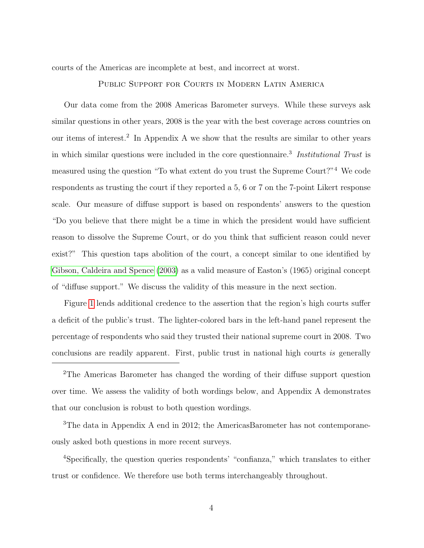courts of the Americas are incomplete at best, and incorrect at worst.

### PUBLIC SUPPORT FOR COURTS IN MODERN LATIN AMERICA

Our data come from the 2008 Americas Barometer surveys. While these surveys ask similar questions in other years, 2008 is the year with the best coverage across countries on our items of interest.<sup>2</sup> In Appendix A we show that the results are similar to other years in which similar questions were included in the core questionnaire.<sup>3</sup> Institutional Trust is measured using the question "To what extent do you trust the Supreme Court?"<sup>4</sup> We code respondents as trusting the court if they reported a 5, 6 or 7 on the 7-point Likert response scale. Our measure of diffuse support is based on respondents' answers to the question "Do you believe that there might be a time in which the president would have sufficient reason to dissolve the Supreme Court, or do you think that sufficient reason could never exist?" This question taps abolition of the court, a concept similar to one identified by [Gibson, Caldeira and Spence](#page-13-8) [\(2003\)](#page-13-8) as a valid measure of Easton's (1965) original concept of "diffuse support." We discuss the validity of this measure in the next section.

Figure [1](#page-5-0) lends additional credence to the assertion that the region's high courts suffer a deficit of the public's trust. The lighter-colored bars in the left-hand panel represent the percentage of respondents who said they trusted their national supreme court in 2008. Two conclusions are readily apparent. First, public trust in national high courts is generally

<sup>2</sup>The Americas Barometer has changed the wording of their diffuse support question over time. We assess the validity of both wordings below, and Appendix A demonstrates that our conclusion is robust to both question wordings.

<sup>3</sup>The data in Appendix A end in 2012; the AmericasBarometer has not contemporaneously asked both questions in more recent surveys.

<sup>4</sup>Specifically, the question queries respondents' "confianza," which translates to either trust or confidence. We therefore use both terms interchangeably throughout.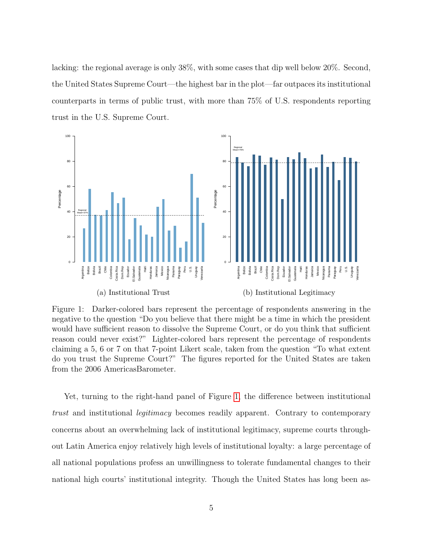lacking: the regional average is only 38%, with some cases that dip well below 20%. Second, the United States Supreme Court—the highest bar in the plot—far outpaces its institutional counterparts in terms of public trust, with more than 75% of U.S. respondents reporting trust in the U.S. Supreme Court.

<span id="page-5-0"></span>

Figure 1: Darker-colored bars represent the percentage of respondents answering in the negative to the question "Do you believe that there might be a time in which the president would have sufficient reason to dissolve the Supreme Court, or do you think that sufficient reason could never exist?" Lighter-colored bars represent the percentage of respondents claiming a 5, 6 or 7 on that 7-point Likert scale, taken from the question "To what extent do you trust the Supreme Court?" The figures reported for the United States are taken from the 2006 AmericasBarometer.

Yet, turning to the right-hand panel of Figure [1,](#page-5-0) the difference between institutional trust and institutional legitimacy becomes readily apparent. Contrary to contemporary concerns about an overwhelming lack of institutional legitimacy, supreme courts throughout Latin America enjoy relatively high levels of institutional loyalty: a large percentage of all national populations profess an unwillingness to tolerate fundamental changes to their national high courts' institutional integrity. Though the United States has long been as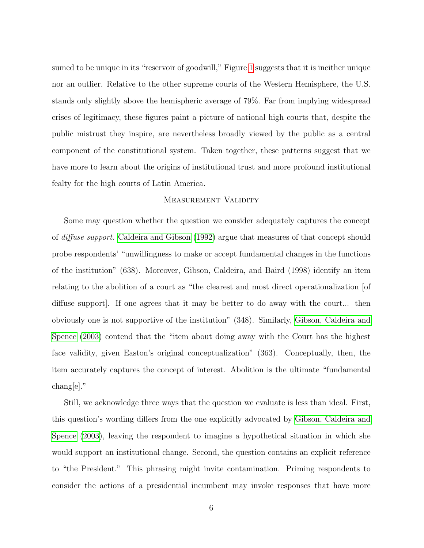sumed to be unique in its "reservoir of goodwill," Figure [1](#page-5-0) suggests that it is ineither unique nor an outlier. Relative to the other supreme courts of the Western Hemisphere, the U.S. stands only slightly above the hemispheric average of 79%. Far from implying widespread crises of legitimacy, these figures paint a picture of national high courts that, despite the public mistrust they inspire, are nevertheless broadly viewed by the public as a central component of the constitutional system. Taken together, these patterns suggest that we have more to learn about the origins of institutional trust and more profound institutional fealty for the high courts of Latin America.

### Measurement Validity

Some may question whether the question we consider adequately captures the concept of diffuse support. [Caldeira and Gibson](#page-13-10) [\(1992\)](#page-13-10) argue that measures of that concept should probe respondents' "unwillingness to make or accept fundamental changes in the functions of the institution" (638). Moreover, Gibson, Caldeira, and Baird (1998) identify an item relating to the abolition of a court as "the clearest and most direct operationalization [of diffuse support]. If one agrees that it may be better to do away with the court... then obviously one is not supportive of the institution" (348). Similarly, [Gibson, Caldeira and](#page-13-8) [Spence](#page-13-8) [\(2003\)](#page-13-8) contend that the "item about doing away with the Court has the highest face validity, given Easton's original conceptualization" (363). Conceptually, then, the item accurately captures the concept of interest. Abolition is the ultimate "fundamental chang[e]."

Still, we acknowledge three ways that the question we evaluate is less than ideal. First, this question's wording differs from the one explicitly advocated by [Gibson, Caldeira and](#page-13-8) [Spence](#page-13-8) [\(2003\)](#page-13-8), leaving the respondent to imagine a hypothetical situation in which she would support an institutional change. Second, the question contains an explicit reference to "the President." This phrasing might invite contamination. Priming respondents to consider the actions of a presidential incumbent may invoke responses that have more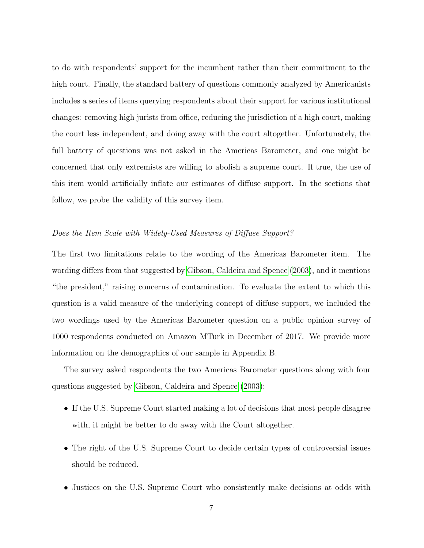to do with respondents' support for the incumbent rather than their commitment to the high court. Finally, the standard battery of questions commonly analyzed by Americanists includes a series of items querying respondents about their support for various institutional changes: removing high jurists from office, reducing the jurisdiction of a high court, making the court less independent, and doing away with the court altogether. Unfortunately, the full battery of questions was not asked in the Americas Barometer, and one might be concerned that only extremists are willing to abolish a supreme court. If true, the use of this item would artificially inflate our estimates of diffuse support. In the sections that follow, we probe the validity of this survey item.

#### Does the Item Scale with Widely-Used Measures of Diffuse Support?

The first two limitations relate to the wording of the Americas Barometer item. The wording differs from that suggested by [Gibson, Caldeira and Spence](#page-13-8) [\(2003\)](#page-13-8), and it mentions "the president," raising concerns of contamination. To evaluate the extent to which this question is a valid measure of the underlying concept of diffuse support, we included the two wordings used by the Americas Barometer question on a public opinion survey of 1000 respondents conducted on Amazon MTurk in December of 2017. We provide more information on the demographics of our sample in Appendix B.

The survey asked respondents the two Americas Barometer questions along with four questions suggested by [Gibson, Caldeira and Spence](#page-13-8) [\(2003\)](#page-13-8):

- If the U.S. Supreme Court started making a lot of decisions that most people disagree with, it might be better to do away with the Court altogether.
- The right of the U.S. Supreme Court to decide certain types of controversial issues should be reduced.
- Justices on the U.S. Supreme Court who consistently make decisions at odds with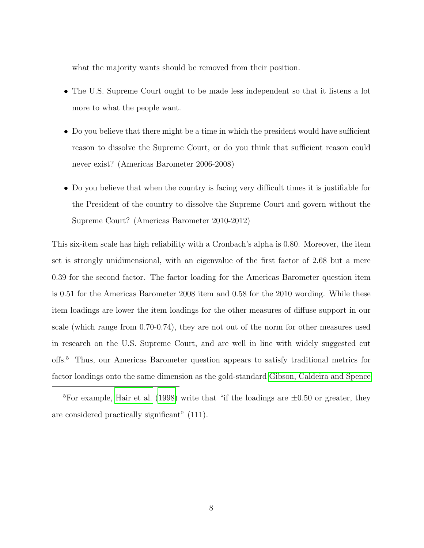what the majority wants should be removed from their position.

- The U.S. Supreme Court ought to be made less independent so that it listens a lot more to what the people want.
- Do you believe that there might be a time in which the president would have sufficient reason to dissolve the Supreme Court, or do you think that sufficient reason could never exist? (Americas Barometer 2006-2008)
- Do you believe that when the country is facing very difficult times it is justifiable for the President of the country to dissolve the Supreme Court and govern without the Supreme Court? (Americas Barometer 2010-2012)

This six-item scale has high reliability with a Cronbach's alpha is 0.80. Moreover, the item set is strongly unidimensional, with an eigenvalue of the first factor of 2.68 but a mere 0.39 for the second factor. The factor loading for the Americas Barometer question item is 0.51 for the Americas Barometer 2008 item and 0.58 for the 2010 wording. While these item loadings are lower the item loadings for the other measures of diffuse support in our scale (which range from 0.70-0.74), they are not out of the norm for other measures used in research on the U.S. Supreme Court, and are well in line with widely suggested cut offs.<sup>5</sup> Thus, our Americas Barometer question appears to satisfy traditional metrics for factor loadings onto the same dimension as the gold-standard [Gibson, Caldeira and Spence](#page-13-8)

<sup>5</sup>For example, [Hair et al.](#page-13-11) [\(1998\)](#page-13-11) write that "if the loadings are  $\pm 0.50$  or greater, they are considered practically significant" (111).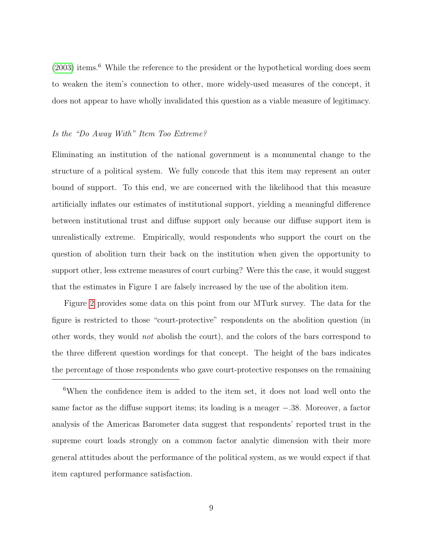$(2003)$  items.<sup>6</sup> While the reference to the president or the hypothetical wording does seem to weaken the item's connection to other, more widely-used measures of the concept, it does not appear to have wholly invalidated this question as a viable measure of legitimacy.

## Is the "Do Away With" Item Too Extreme?

Eliminating an institution of the national government is a monumental change to the structure of a political system. We fully concede that this item may represent an outer bound of support. To this end, we are concerned with the likelihood that this measure artificially inflates our estimates of institutional support, yielding a meaningful difference between institutional trust and diffuse support only because our diffuse support item is unrealistically extreme. Empirically, would respondents who support the court on the question of abolition turn their back on the institution when given the opportunity to support other, less extreme measures of court curbing? Were this the case, it would suggest that the estimates in Figure 1 are falsely increased by the use of the abolition item.

Figure [2](#page-10-0) provides some data on this point from our MTurk survey. The data for the figure is restricted to those "court-protective" respondents on the abolition question (in other words, they would not abolish the court), and the colors of the bars correspond to the three different question wordings for that concept. The height of the bars indicates the percentage of those respondents who gave court-protective responses on the remaining

<sup>6</sup>When the confidence item is added to the item set, it does not load well onto the same factor as the diffuse support items; its loading is a meager  $-.38$ . Moreover, a factor analysis of the Americas Barometer data suggest that respondents' reported trust in the supreme court loads strongly on a common factor analytic dimension with their more general attitudes about the performance of the political system, as we would expect if that item captured performance satisfaction.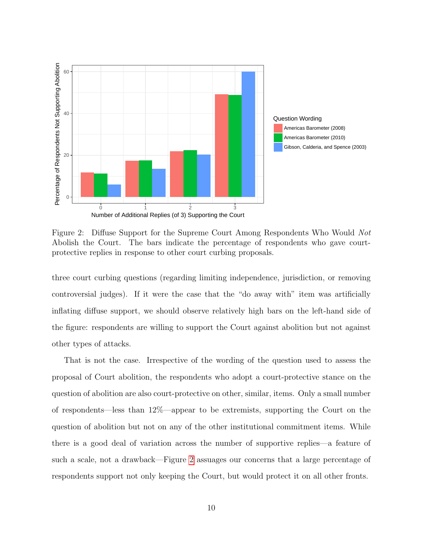<span id="page-10-0"></span>

Figure 2: Diffuse Support for the Supreme Court Among Respondents Who Would Not Abolish the Court. The bars indicate the percentage of respondents who gave courtprotective replies in response to other court curbing proposals.

three court curbing questions (regarding limiting independence, jurisdiction, or removing controversial judges). If it were the case that the "do away with" item was artificially inflating diffuse support, we should observe relatively high bars on the left-hand side of the figure: respondents are willing to support the Court against abolition but not against other types of attacks.

That is not the case. Irrespective of the wording of the question used to assess the proposal of Court abolition, the respondents who adopt a court-protective stance on the question of abolition are also court-protective on other, similar, items. Only a small number of respondents—less than 12%—appear to be extremists, supporting the Court on the question of abolition but not on any of the other institutional commitment items. While there is a good deal of variation across the number of supportive replies—a feature of such a scale, not a drawback—Figure [2](#page-10-0) assuages our concerns that a large percentage of respondents support not only keeping the Court, but would protect it on all other fronts.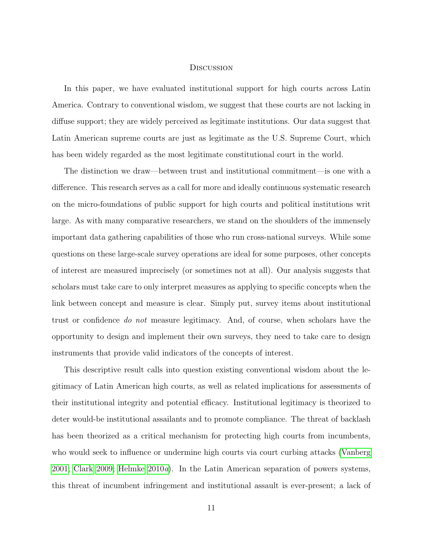#### **DISCUSSION**

In this paper, we have evaluated institutional support for high courts across Latin America. Contrary to conventional wisdom, we suggest that these courts are not lacking in diffuse support; they are widely perceived as legitimate institutions. Our data suggest that Latin American supreme courts are just as legitimate as the U.S. Supreme Court, which has been widely regarded as the most legitimate constitutional court in the world.

The distinction we draw—between trust and institutional commitment—is one with a difference. This research serves as a call for more and ideally continuous systematic research on the micro-foundations of public support for high courts and political institutions writ large. As with many comparative researchers, we stand on the shoulders of the immensely important data gathering capabilities of those who run cross-national surveys. While some questions on these large-scale survey operations are ideal for some purposes, other concepts of interest are measured imprecisely (or sometimes not at all). Our analysis suggests that scholars must take care to only interpret measures as applying to specific concepts when the link between concept and measure is clear. Simply put, survey items about institutional trust or confidence do not measure legitimacy. And, of course, when scholars have the opportunity to design and implement their own surveys, they need to take care to design instruments that provide valid indicators of the concepts of interest.

This descriptive result calls into question existing conventional wisdom about the legitimacy of Latin American high courts, as well as related implications for assessments of their institutional integrity and potential efficacy. Institutional legitimacy is theorized to deter would-be institutional assailants and to promote compliance. The threat of backlash has been theorized as a critical mechanism for protecting high courts from incumbents, who would seek to influence or undermine high courts via court curbing attacks [\(Vanberg](#page-14-5)  $2001$ ; Clark  $2009$ ; Helmke  $2010a$ . In the Latin American separation of powers systems, this threat of incumbent infringement and institutional assault is ever-present; a lack of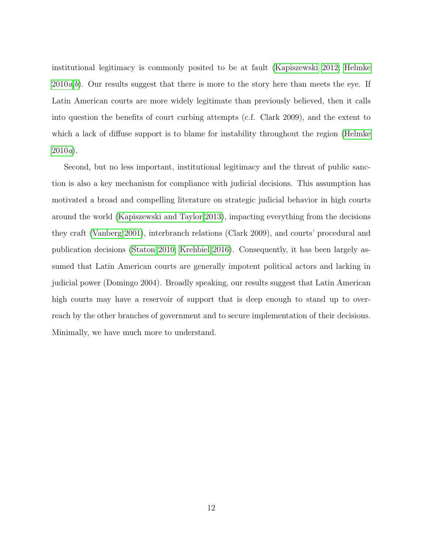institutional legitimacy is commonly posited to be at fault [\(Kapiszewski 2012;](#page-13-6) [Helmke](#page-13-5)  $2010a,b$  $2010a,b$  $2010a,b$ . Our results suggest that there is more to the story here than meets the eye. If Latin American courts are more widely legitimate than previously believed, then it calls into question the benefits of court curbing attempts (c.f. Clark 2009), and the extent to which a lack of diffuse support is to blame for instability throughout the region [\(Helmke](#page-13-5)  $2010a$  $2010a$ ).

Second, but no less important, institutional legitimacy and the threat of public sanction is also a key mechanism for compliance with judicial decisions. This assumption has motivated a broad and compelling literature on strategic judicial behavior in high courts around the world [\(Kapiszewski and Taylor 2013\)](#page-14-6), impacting everything from the decisions they craft [\(Vanberg 2001\)](#page-14-5), interbranch relations (Clark 2009), and courts' procedural and publication decisions [\(Staton 2010;](#page-14-4) [Krehbiel 2016\)](#page-14-7). Consequently, it has been largely assumed that Latin American courts are generally impotent political actors and lacking in judicial power (Domingo 2004). Broadly speaking, our results suggest that Latin American high courts may have a reservoir of support that is deep enough to stand up to overreach by the other branches of government and to secure implementation of their decisions. Minimally, we have much more to understand.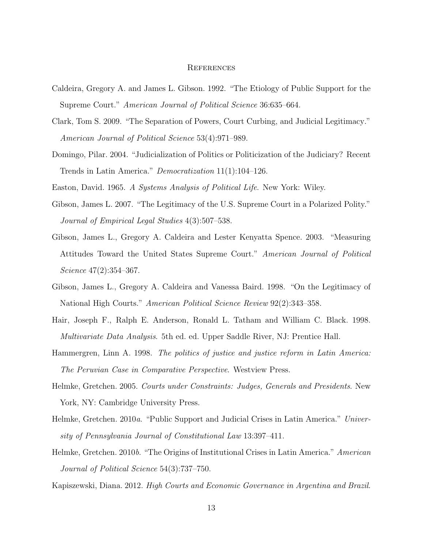#### **REFERENCES**

- <span id="page-13-10"></span>Caldeira, Gregory A. and James L. Gibson. 1992. "The Etiology of Public Support for the Supreme Court." American Journal of Political Science 36:635–664.
- <span id="page-13-12"></span>Clark, Tom S. 2009. "The Separation of Powers, Court Curbing, and Judicial Legitimacy." American Journal of Political Science 53(4):971–989.
- <span id="page-13-3"></span>Domingo, Pilar. 2004. "Judicialization of Politics or Politicization of the Judiciary? Recent Trends in Latin America." Democratization 11(1):104–126.

<span id="page-13-1"></span><span id="page-13-0"></span>Easton, David. 1965. A Systems Analysis of Political Life. New York: Wiley.

- Gibson, James L. 2007. "The Legitimacy of the U.S. Supreme Court in a Polarized Polity." Journal of Empirical Legal Studies 4(3):507–538.
- <span id="page-13-8"></span>Gibson, James L., Gregory A. Caldeira and Lester Kenyatta Spence. 2003. "Measuring Attitudes Toward the United States Supreme Court." American Journal of Political Science 47(2):354–367.
- <span id="page-13-9"></span>Gibson, James L., Gregory A. Caldeira and Vanessa Baird. 1998. "On the Legitimacy of National High Courts." American Political Science Review 92(2):343–358.
- <span id="page-13-11"></span>Hair, Joseph F., Ralph E. Anderson, Ronald L. Tatham and William C. Black. 1998. Multivariate Data Analysis. 5th ed. ed. Upper Saddle River, NJ: Prentice Hall.
- <span id="page-13-2"></span>Hammergren, Linn A. 1998. The politics of justice and justice reform in Latin America: The Peruvian Case in Comparative Perspective. Westview Press.
- <span id="page-13-4"></span>Helmke, Gretchen. 2005. Courts under Constraints: Judges, Generals and Presidents. New York, NY: Cambridge University Press.
- <span id="page-13-5"></span>Helmke, Gretchen. 2010a. "Public Support and Judicial Crises in Latin America." University of Pennsylvania Journal of Constitutional Law 13:397–411.
- <span id="page-13-7"></span>Helmke, Gretchen. 2010b. "The Origins of Institutional Crises in Latin America." American Journal of Political Science 54(3):737–750.

<span id="page-13-6"></span>Kapiszewski, Diana. 2012. High Courts and Economic Governance in Argentina and Brazil.